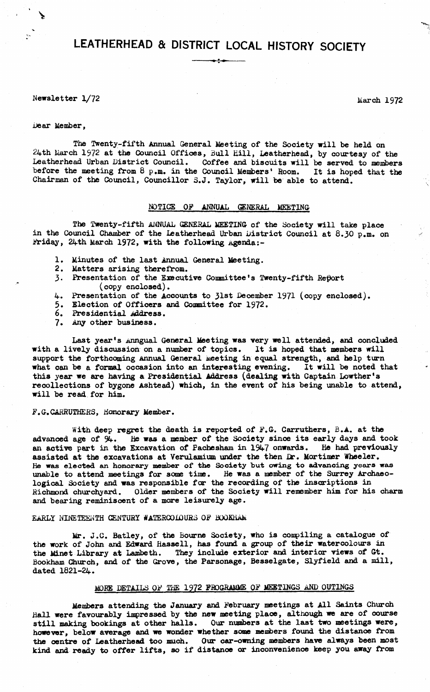# **LEATHERHEAD & DISTRICT LOCAL HISTORY SOCIETY**

Newsletter  $1/72$  March 1972

## Dear Member,

The Twenty-fifth Annual General Meeting of the Society will be held on 24th March 1972 at the Council Offices, Bull Hill, Leatherhead, by courtesy of the Leatherhead Urban District Council. Coffee and biscuits will be served to members before the meeting from 8 p.m. in the Council Members' Room. It is hoped that the Chairman of the Council, Councillor 3.J. Taylor, will be able to attend.

# NOTICE OF ANNUAL GENERAL MEETING

The Twenty-fifth ANNUAL GENERAL MEETING of the Society will take place in the Council Chamber of the Leatherhead Urban District Council at  $8.30$  p.m. on Friday, 24th March 1972, with the following Agenda:-

- 1. Minutes of the last Annual General Meeting.
- 2. Matters arising therefrom.
- **3**. Presentation of the Executive Committee's Twenty-fifth Report (copy enclosed).
- 4. Presentation of the Accounts to 31st December 1971 (copy enclosed).
- 5. Election of Officers and Committee for 1972.
- 6. Presidential Address.
- 7. Any other business.

Last year's Anngual General Meeting was very well attended, and concluded with a lively discussion on a number of topics. It is hoped that members will support the forthcoming Annual General Meeting in equal strength, and help turn what can be a formal occasion into an interesting evening. It will be noted that this year we are having a Presidential Address (dealing with Captain Lowther's recollections of bygone Ashtead) which, in the event of his being unable to attend, will be read for him.

# F.G.CARRUTHERS, Honorary Member.

With deep regret the death is reported of F.G. Carruthers, B.A. at the advanced age of  $94$ . He was a member of the Society since its early days and took an active part in the Excavation of Pachesham in 1947 onwards. He had previously assisted at the excavations at Verulamium under the then Dr. Mortimer Wheeler. He was elected an honorary member of the Society but owing to advancing years was unable to attend meetings for some time. He was a member of the Surrey Archaeological Society and was responsible far the recording of the inscriptions in Richmond churchyard. Older members of the Society will remember him for his charm and bearing reminiscent of a more leisurely age.

# EARLY NINETEENTH CENTURY WATERCOLOURS OP BOGKhAM

Mr. J.C. Batley, of the Bourne Society, who is compiling a catalogue of the work of John and Edward Hassell, has found a group of their watercolours in the Minet Library at Lambeth. They include exterior and interior views of Gt. Bookham Church, and of the Grove, the Parsonage, Besselgate, Slyfield and a mill, dated 1821-24.

# MORE DETAILS OP THE 1972 PROGRAMME OF MEETINGS AND OUTINGS

Members attending the January and February meetings at All Saints Church Hall were favourably impressed by the new meeting place, although we are of course still making bookings at other halls. Our numbers at the last two meetings were, however, below average and we wonder whether some members found the distance from the centre of Leatherhead too much. Our car-owning members have always been most kind and ready to offer lifts, so if distance or inconvenience keep you away from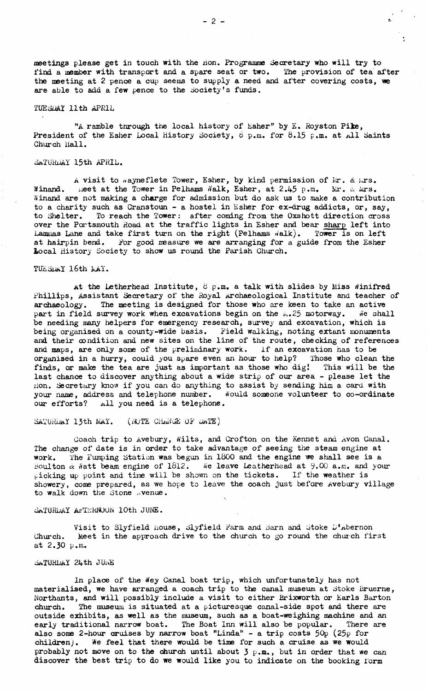meetings please get in touch with the non. Programme Secretary who will try to find a member with transport and a spare seat or two. The provision of tea after the meeting at 2 pence a cup seems to supply a need and after covering costs, we are able to add a few pence to the Society's funds.

## *TUESDAY 11th APRIL*

"A ramble through the local history of Esher" by E. Royston Pike, President of the Esher Local History Society,  $6$  p.m. for  $8.15$  p.m. at All Saints Church Hall.

# SATURDAY 15th APRIL.

A visit to  $n$ ayneflete Tower, Esher, by kind permission of  $\lambda x$ . &  $\lambda x$ s. **Winand.** i.eet at the Tower in Pelhams Walk, Esher, at 2.45 p.m. Mr. & Mrs. Winand are not making a charge for admission but do ask us to make a contribution to a charity such as Cranstoun - a hostel in Esher for ex-drug addicts, or, say, to Shelter. To reach the Tower: after coming from the Oxshott direction cross over the Portsmouth Road at the traffic lights in Esher and bear sharp left into Lammas Lane and take first turn on the right (Pelhams  $\ddot{m}$ alk). Tower is on left at hairpin bend. *For* good measure we are arranging for a guide from the Esher Local History Society to show us round the Parish Church.

## TUESDAY 16th NAY.

At the Letherhead Institute,  $\beta$  p.m. a talk with slides by Miss Winifred Phillips, Assistant Secretary of the Royal Archaeological Institute and teacher of archaeology. The meeting is designed for those who are keen to take an active part in field survey work when excavations begin on the  $\mu$ .25 motorway. We shall be needing many helpers for emergency research, survey and excavation, which is being organised on a county-wide basis. Field walking, noting extant monuments and their oondition and new sites on the line of the route, checking of references and maps, are only some of the preliminary work. If an excavation has to be organised in a hurry, could you spare even an hour to help? Those who clean the finds, or make the tea are just as important as those who dig! This will be the last chance to discover anything about a wide strip of our area - please let the non. Secretary know if you can do anything to assist by sending him a card with your name, address and telephone number. Would someone volunteer to co-ordinate our efforts? a11 you need is a telephone.

# SATURLAY 13th MAY. (NOTE CHANGE OF DATE)

Coach trip to Avebury, Wilts, and Crofton on the Kennet and Avon Canal. The change of date is in order to take advantage of seeing the steam engine at work. The Pumping Station was begun in 1800 and the engine we shall see is a boulton  $\alpha$  Watt beam engine of 1612. We leave Leatherhead at 9.00 a.m. and your picking up point and time will be shown on the tickets. If the weather is showery, come prepared, as we hope to leave the coach just before Avebury village to walk down the Stone  $\alpha$  venue.

#### SATURDAY AFTERNOON 10th JUNE.

Visit to Slyfield house, Slyfield Farm and Barn and Stoke D'abernon Church. Meet in the approach drive to the church to go round the church first at 2.30 p.m.

#### SATURDAY 24th JUNE

In plaoe of the *Hey* Canal boat trip, which unfortunately has not materialised, we have arranged a coach trip to the canal museum at Stoke Bruerne, Northants, and will possibly include a visit to either Brixworth or Earls Barton church. The museum is situated at a picturesque canal-side spot and there are outside exhibits, as well as the museum, such as a boat-weighing machine and an early traditional narrow boat. The Boat Inn will also be popular. There are also some 2-hour cruises by narrow boat "Linda" - a trip costs  $50p$  (25 $p$  for children). We feel that there would be time for such a cruise as we would probably not move on to the church until about  $3$  p.m., but in order that we can discover the best trip to do we would like you to indicate on the booking form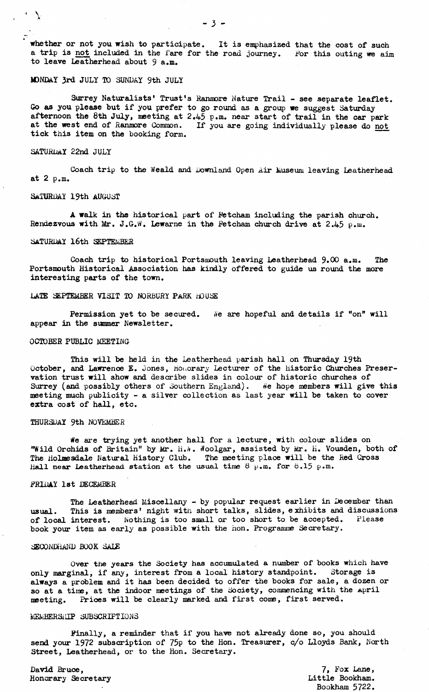whether or not you wish to participate. It is emphasized that the cost of such a trip is not included in the fare for the road journey. For this outing we sim to leave Leatherhead about 9 a.m.

# MDNDAY 3rd JULY TO SUNDAY 9th JULY

Surrey Naturalists' Trust's Hanmore Nature Trail - see separate leaflet. Go as you please but if you prefer to go round as a group we suggest Saturday afternoon the 8th July, meeting at 2.45 p.m. near start of trail in the car park at the west end of Ranmore Common. If you are going individually please do not tick this item on the booking form.

## SATURDAY 22nd JULY

 $\mathcal{L} \rightarrow \mathcal{L}$ 

Coach trip to the Weald and Downland Open Air Museum leaving Leatherhead at 2 p.m.

#### SATURDAY 19th AUGUST

A walk in the historical part of Fetcham including the parish church. Rendezvous with  $Mr. J.G.W.$  Lewarne in the Fetcham church drive at  $2.45$  p.m.

#### Saturday **16**th September

Coach trip to historical Portsmouth leaving Leatherhead  $9.00$  a.m. The Portsmouth Historical Association has kindly offered to guide us round the more interesting parts of the town.

#### LATE SEPTEMBER VISIT TO NORBURY PaRK HOUSE

Permission yet to be secured. We are hopeful and details if "on" will appear in the simmer Newsletter.

#### OCTOBER PUBLIC MEETING-

This will be held in the Leatherhead parish hall on Thursday 19th October, and Lawrence E. Jones, Honorary Lecturer of the Historic Churches Preservation trust will show and describe slides in colour of historic churches of Surrey (and possibly others of Southern England). We hope members will give this meeting much publicity - a silver collection as last year will be taken to cover extra cost of hall, etc.

## THURSDAY 9th NOVEMBER

*He* are trying yet another hall for a lecture, with colour slides on "Wild Orchids of Britain" by Mr. H.A. Woolgar, assisted by Mr. H. Vousden, both of The Holmesdale Natural History Club. The meeting place will be the Red Cross Hall near Leatherhead station at the usual time  $8^{\circ}$  p.m. for 8.15 p.m.

#### FRIDAY 1st DECEMBER

The Leatherhead Miscellany - by popular request earlier in December than usual. This is members' night with short talks, slides, exhibits and discussions of local interest. Nothing is too small or too short to be accepted. Please book your item as early as possible with the non. Programme Secretary.

#### SECONDHAND BOOK SALE

Over the years the Society has accumulated a number of books which have only marginal, if any, interest from a local history standpoint. Storage is always a problem and it has been decided to offer the books for sale, a dozen or so at a time, at the indoor meetings of the Society, commencing with the April meeting. Prices will be clearly marked and first come, first served.

## MEMBERS:HP SUBSCRIPTIONS

Finally, a reminder that if you have not already done so, you should send your 1972 subscription of 75p to the Hon. Treasurer, c/o Lloyds Bank, North Street, Leatherhead, or to the Hon. Secretary.

David Bruce, Honorary Secretary

7, Fox Lane, Little Bookham. Bookham 5722.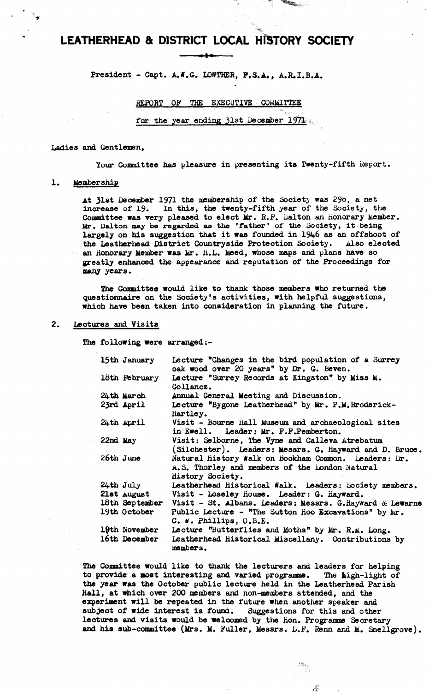# **LEATHERHEAD & DISTRICT LOCAL HISTORY SOCIETY**  $\overline{\phantom{a}}$

President - Capt. A.W.G. LOWTHER, F.S.A., A.R.I.B.A.

REPORT OF THE EXECUTIVE COMMITTEE

for the year ending **31**st December 1971

## Ladies and Gentlemen,

Your Committee has pleasure in presenting its Twenty-fifth Report.

**Communication** 

## 1. Membership

At 31»t December 1971 the membership of the Society was 29b, a net increase of 19. In this, the twenty-fifth year of the Society, the Committee was very pleased to elect Mr. R.F. Dalton an honorary Member. Mr. Dalton may be regarded as the 'father' of the Society, it being largely on his suggestion that it was founded in 1946 as an offshoot of the Leatherhead District Countryside Protection Society. Also elected an honorary Member was Mr. H.L. Meed, whose maps and plans have so greatly enhanced the appearance and reputation of the Proceedings for many years.

The Committee would like to thank those members who returned the questionnaire on the Society's activities, with helpful suggestions, which have been taken into consideration in planning the future.

# 2. Lectures and Visits

The following were arranged:-

| 15th January  | Lecture "Changes in the bird population of a Surrey<br>oak wood over 20 years" by Dr. G. Beven.                            |
|---------------|----------------------------------------------------------------------------------------------------------------------------|
| 18th February | Lecture "Surrey Records at Kingston" by Miss M.<br>Gollancz.                                                               |
| 24th March    | Annual General Meeting and Discussion.                                                                                     |
| 23rd April    | Lecture "Bygone Leatherhead" by Mr. P.M. Broderick-<br>Hartley.                                                            |
| $24$ th April | Visit - Bourne Hall Museum and archaeological sites<br>in Ewell. Leader: Mr. F.F.Pemberton.                                |
| $22nd$ May    | Visit: Selborne, The Vyne and Calleva Atrebatum<br>(Silchester). Leaders: Messrs. G. Hayward and D. Bruce.                 |
| $26th$ June   | Natural history Walk on Bookham Common. Leaders: Dr.<br>A.S. Thorley and members of the London Natural<br>History Society. |
| $24$ th July  | Leatherhead Historical Walk. Leaders: Society members.                                                                     |
|               | 21st August Visit - Loseley House. Leader: G. Hayward.                                                                     |
|               | 18th September Visit - St. Albans. Leaders: Messrs. G. Hayward & Lewarne                                                   |
| 19th October  | Public Lecture - "The Sutton Hoo Excavations" by Mr.<br>C. W. Phillips, O.B.E.                                             |
| 19th November | Lecture "Butterflies and Moths" by Mr. R.M. Long.                                                                          |
| 16th December | Leatherhead Historical Miscellany. Contributions by<br>members.                                                            |

The Committee would like to thank the lecturers and leaders for helping to provide a most interesting and varied programme. The high-light of the year was the October public lecture held in the Leatherhead Parish Ball, at which over 200 members and non-members attended, and the experiment will be repeated in the future when another speaker and subject of wide interest is found. Suggestions for this and other lectures and visits would be welcomed by the Hon. Programme Secretary and his sub-committee (Mrs. M. Fuller, Messrs. D.F. Renn and M. Snellgrove).

 $\mathbf{x}_{i}$ 

 $\mathcal{A}_\beta$